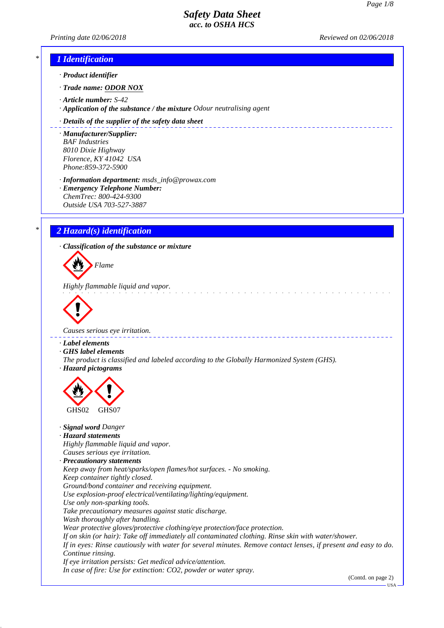*Printing date 02/06/2018 Reviewed on 02/06/2018*

# *\* 1 Identification*

*· Product identifier*

*· Trade name: ODOR NOX*

*· Article number: S-42*

*· Application of the substance / the mixture Odour neutralising agent*

#### *· Details of the supplier of the safety data sheet*

*· Manufacturer/Supplier: BAF Industries 8010 Dixie Highway Florence, KY 41042 USA Phone:859-372-5900*

*· Information department: msds\_info@prowax.com*

*· Emergency Telephone Number: ChemTrec: 800-424-9300 Outside USA 703-527-3887*

# *\* 2 Hazard(s) identification*

*· Classification of the substance or mixture*

*Flame*

*Highly flammable liquid and vapor.* 



*Causes serious eye irritation.* 

*· Label elements*

*· GHS label elements*

*The product is classified and labeled according to the Globally Harmonized System (GHS). · Hazard pictograms*



#### *· Signal word Danger*

*· Hazard statements*

*Highly flammable liquid and vapor. Causes serious eye irritation.*

*· Precautionary statements*

*Keep away from heat/sparks/open flames/hot surfaces. - No smoking. Keep container tightly closed.*

*Ground/bond container and receiving equipment.*

*Use explosion-proof electrical/ventilating/lighting/equipment.*

*Use only non-sparking tools.*

*Take precautionary measures against static discharge.*

*Wash thoroughly after handling.*

*Wear protective gloves/protective clothing/eye protection/face protection.*

*If on skin (or hair): Take off immediately all contaminated clothing. Rinse skin with water/shower.*

*If in eyes: Rinse cautiously with water for several minutes. Remove contact lenses, if present and easy to do. Continue rinsing.*

*If eye irritation persists: Get medical advice/attention. In case of fire: Use for extinction: CO2, powder or water spray.*

(Contd. on page 2)

USA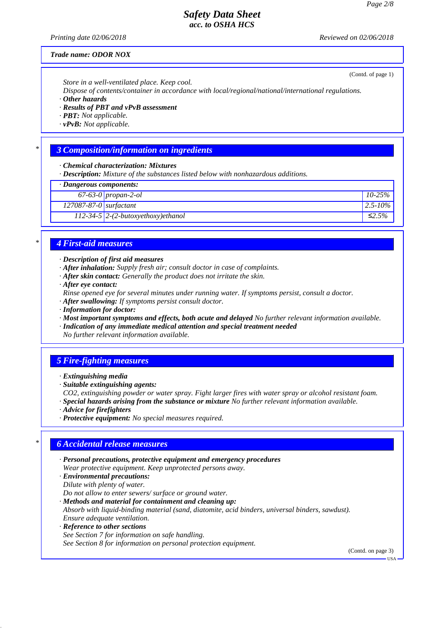*Printing date 02/06/2018 Reviewed on 02/06/2018*

(Contd. of page 1)

#### *Trade name: ODOR NOX*

*Store in a well-ventilated place. Keep cool.*

*Dispose of contents/container in accordance with local/regional/national/international regulations.*

*· Other hazards*

*· Results of PBT and vPvB assessment*

*· PBT: Not applicable.*

*· vPvB: Not applicable.*

### *\* 3 Composition/information on ingredients*

*· Chemical characterization: Mixtures*

*· Description: Mixture of the substances listed below with nonhazardous additions.*

*· Dangerous components:*

|                              | 67-63-0 propan-2-ol                  | $10 - 25\%$  |  |
|------------------------------|--------------------------------------|--------------|--|
| $127087 - 87 - 0$ surfactant |                                      | $2.5 - 10\%$ |  |
|                              | $112-34-5$ 2-(2-butoxyethoxy)ethanol | ≤2.5%        |  |
|                              |                                      |              |  |

# *\* 4 First-aid measures*

#### *· Description of first aid measures*

- *· After inhalation: Supply fresh air; consult doctor in case of complaints.*
- *· After skin contact: Generally the product does not irritate the skin.*
- *· After eye contact:*

*Rinse opened eye for several minutes under running water. If symptoms persist, consult a doctor.*

- *· After swallowing: If symptoms persist consult doctor.*
- *· Information for doctor:*

*· Most important symptoms and effects, both acute and delayed No further relevant information available.*

*· Indication of any immediate medical attention and special treatment needed*

*No further relevant information available.*

# *5 Fire-fighting measures*

*· Extinguishing media*

*CO2, extinguishing powder or water spray. Fight larger fires with water spray or alcohol resistant foam.*

*· Special hazards arising from the substance or mixture No further relevant information available.*

- *· Advice for firefighters*
- *· Protective equipment: No special measures required.*

# *\* 6 Accidental release measures*

- *· Personal precautions, protective equipment and emergency procedures Wear protective equipment. Keep unprotected persons away.*
- *· Environmental precautions: Dilute with plenty of water.*

*Do not allow to enter sewers/ surface or ground water.*

- *· Methods and material for containment and cleaning up: Absorb with liquid-binding material (sand, diatomite, acid binders, universal binders, sawdust). Ensure adequate ventilation.*
- *· Reference to other sections See Section 7 for information on safe handling. See Section 8 for information on personal protection equipment.*

(Contd. on page 3)

*<sup>·</sup> Suitable extinguishing agents:*

USA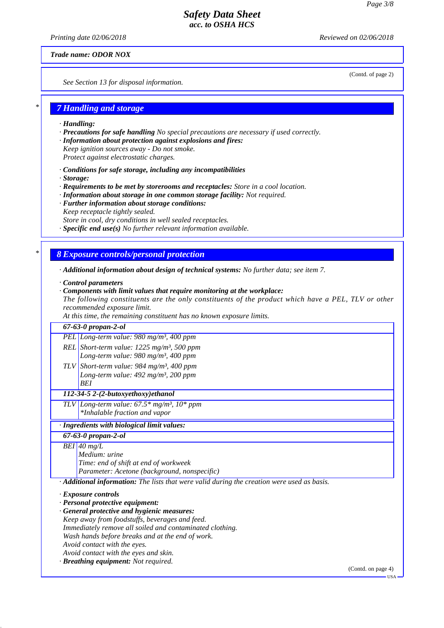*Printing date 02/06/2018 Reviewed on 02/06/2018*

*Trade name: ODOR NOX*

*See Section 13 for disposal information.*

(Contd. of page 2)

USA

# *\* 7 Handling and storage*

- *· Handling:*
- *· Precautions for safe handling No special precautions are necessary if used correctly.*
- *· Information about protection against explosions and fires:*
- *Keep ignition sources away Do not smoke.*
- *Protect against electrostatic charges.*
- *· Conditions for safe storage, including any incompatibilities*
- *· Storage:*
- *· Requirements to be met by storerooms and receptacles: Store in a cool location.*
- *· Information about storage in one common storage facility: Not required.*
- *· Further information about storage conditions:*
- *Keep receptacle tightly sealed.*
- *Store in cool, dry conditions in well sealed receptacles.*
- *· Specific end use(s) No further relevant information available.*

# *\* 8 Exposure controls/personal protection*

- *· Additional information about design of technical systems: No further data; see item 7.*
- *· Control parameters*
- *· Components with limit values that require monitoring at the workplace:*

*The following constituents are the only constituents of the product which have a PEL, TLV or other recommended exposure limit.*

*At this time, the remaining constituent has no known exposure limits.*

| $67 - 63 - 0$ propan-2-ol |                                                                                             |                    |
|---------------------------|---------------------------------------------------------------------------------------------|--------------------|
|                           | PEL Long-term value: $980$ mg/m <sup>3</sup> , 400 ppm                                      |                    |
|                           | REL Short-term value: $1225$ mg/m <sup>3</sup> , 500 ppm                                    |                    |
|                           | Long-term value: 980 mg/m <sup>3</sup> , 400 ppm                                            |                    |
|                           | TLV Short-term value: 984 mg/m <sup>3</sup> , 400 ppm                                       |                    |
|                           | Long-term value: $492$ mg/m <sup>3</sup> , 200 ppm                                          |                    |
|                           | <b>BEI</b>                                                                                  |                    |
|                           | 112-34-5 2-(2-butoxyethoxy)ethanol                                                          |                    |
|                           | TLV Long-term value: $67.5*$ mg/m <sup>3</sup> , $10*$ ppm                                  |                    |
|                           | *Inhalable fraction and vapor                                                               |                    |
|                           | Ingredients with biological limit values:                                                   |                    |
|                           | $67 - 63 - 0$ propan-2-ol                                                                   |                    |
|                           | $BEI$ 40 mg/L                                                                               |                    |
|                           | Medium: urine                                                                               |                    |
|                           | Time: end of shift at end of workweek                                                       |                    |
|                           | Parameter: Acetone (background, nonspecific)                                                |                    |
|                           | · Additional information: The lists that were valid during the creation were used as basis. |                    |
|                           | $\cdot$ Exposure controls                                                                   |                    |
|                           | · Personal protective equipment:                                                            |                    |
|                           | · General protective and hygienic measures:                                                 |                    |
|                           | Keep away from foodstuffs, beverages and feed.                                              |                    |
|                           | Immediately remove all soiled and contaminated clothing.                                    |                    |
|                           | Wash hands before breaks and at the end of work.                                            |                    |
|                           | Avoid contact with the eyes.                                                                |                    |
|                           | Avoid contact with the eyes and skin.                                                       |                    |
|                           | · Breathing equipment: Not required.                                                        |                    |
|                           |                                                                                             | (Contd. on page 4) |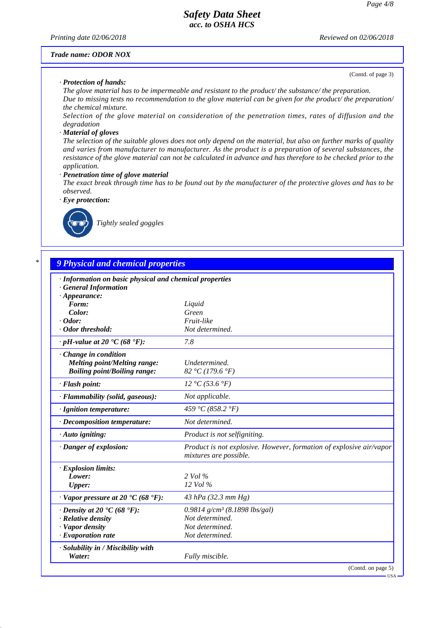*Printing date 02/06/2018 Reviewed on 02/06/2018*

#### *Trade name: ODOR NOX*

#### *· Protection of hands:*

(Contd. of page 3)

*The glove material has to be impermeable and resistant to the product/ the substance/ the preparation. Due to missing tests no recommendation to the glove material can be given for the product/ the preparation/ the chemical mixture.*

*Selection of the glove material on consideration of the penetration times, rates of diffusion and the degradation*

#### *· Material of gloves*

*The selection of the suitable gloves does not only depend on the material, but also on further marks of quality and varies from manufacturer to manufacturer. As the product is a preparation of several substances, the resistance of the glove material can not be calculated in advance and has therefore to be checked prior to the application.*

*· Penetration time of glove material*

*The exact break through time has to be found out by the manufacturer of the protective gloves and has to be observed.*

*· Eye protection:*



*Tightly sealed goggles*

# *\* 9 Physical and chemical properties*

| · Information on basic physical and chemical properties      |                                                                                               |
|--------------------------------------------------------------|-----------------------------------------------------------------------------------------------|
| <b>General Information</b>                                   |                                                                                               |
| $\cdot$ Appearance:                                          |                                                                                               |
| Form:                                                        | Liquid                                                                                        |
| Color:                                                       | Green                                                                                         |
| $\cdot$ Odor:                                                | Fruit-like                                                                                    |
| · Odor threshold:                                            | Not determined.                                                                               |
| $\cdot$ pH-value at 20 $\textdegree$ C (68 $\textdegree$ F): | 7.8                                                                                           |
| $\cdot$ Change in condition                                  |                                                                                               |
| <b>Melting point/Melting range:</b>                          | Undetermined.                                                                                 |
| <b>Boiling point/Boiling range:</b>                          | 82 °C (179.6 °F)                                                                              |
| · Flash point:                                               | 12 °C (53.6 °F)                                                                               |
| · Flammability (solid, gaseous):                             | Not applicable.                                                                               |
| · Ignition temperature:                                      | 459 °C (858.2 °F)                                                                             |
| $\cdot$ Decomposition temperature:                           | Not determined.                                                                               |
| $\cdot$ Auto igniting:                                       | Product is not selfigniting.                                                                  |
| $\cdot$ Danger of explosion:                                 | Product is not explosive. However, formation of explosive air/vapor<br>mixtures are possible. |
| · Explosion limits:                                          |                                                                                               |
| Lower:                                                       | $2$ Vol $\%$                                                                                  |
| <b>Upper:</b>                                                | $12$ Vol $\%$                                                                                 |
| $\cdot$ Vapor pressure at 20 $\cdot$ C (68 $\cdot$ F):       | 43 hPa (32.3 mm Hg)                                                                           |
| $\cdot$ Density at 20 $\cdot$ C (68 $\cdot$ F):              | $0.9814$ g/cm <sup>3</sup> (8.1898 lbs/gal)                                                   |
| · Relative density                                           | Not determined.                                                                               |
| · Vapor density                                              | Not determined.                                                                               |
| $\cdot$ Evaporation rate                                     | Not determined.                                                                               |
| · Solubility in / Miscibility with<br>Water:                 | Fully miscible.                                                                               |
|                                                              | (Contd. on page 5)                                                                            |

USA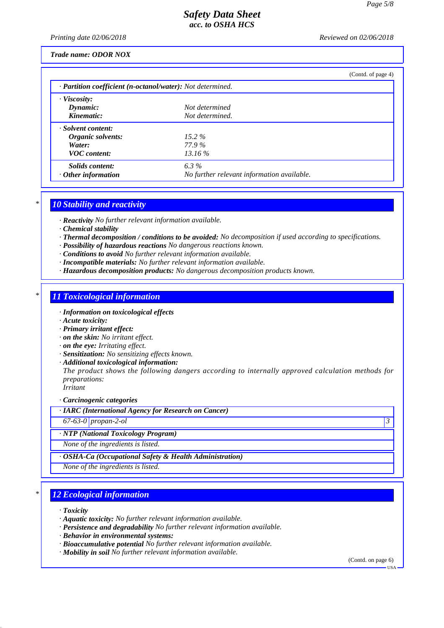*Printing date 02/06/2018 Reviewed on 02/06/2018*

#### *Trade name: ODOR NOX*

|                                                            |                                            | (Contd. of page 4) |  |  |  |
|------------------------------------------------------------|--------------------------------------------|--------------------|--|--|--|
| · Partition coefficient (n-octanol/water): Not determined. |                                            |                    |  |  |  |
| $\cdot$ Viscosity:                                         |                                            |                    |  |  |  |
| Dynamic:                                                   | Not determined                             |                    |  |  |  |
| Kinematic:                                                 | Not determined.                            |                    |  |  |  |
| · Solvent content:                                         |                                            |                    |  |  |  |
| Organic solvents:                                          | $15.2\%$                                   |                    |  |  |  |
| Water:                                                     | 77.9 %                                     |                    |  |  |  |
| <b>VOC</b> content:                                        | $13.16\%$                                  |                    |  |  |  |
| Solids content:                                            | $6.3\%$                                    |                    |  |  |  |
| $\cdot$ Other information                                  | No further relevant information available. |                    |  |  |  |

# *\* 10 Stability and reactivity*

*· Reactivity No further relevant information available.*

- *· Chemical stability*
- *· Thermal decomposition / conditions to be avoided: No decomposition if used according to specifications.*
- *· Possibility of hazardous reactions No dangerous reactions known.*
- *· Conditions to avoid No further relevant information available.*
- *· Incompatible materials: No further relevant information available.*
- *· Hazardous decomposition products: No dangerous decomposition products known.*

# *\* 11 Toxicological information*

- *· Information on toxicological effects*
- *· Acute toxicity:*
- *· Primary irritant effect:*
- *· on the skin: No irritant effect.*
- *· on the eye: Irritating effect.*
- *· Sensitization: No sensitizing effects known.*
- *· Additional toxicological information:*

*The product shows the following dangers according to internally approved calculation methods for preparations:*

*Irritant*

*· Carcinogenic categories*

*· IARC (International Agency for Research on Cancer)*

*67-63-0 propan-2-ol 3* 

#### *· NTP (National Toxicology Program)*

*None of the ingredients is listed.*

*· OSHA-Ca (Occupational Safety & Health Administration)*

*None of the ingredients is listed.*

# *\* 12 Ecological information*

*· Toxicity*

- *· Aquatic toxicity: No further relevant information available.*
- *· Persistence and degradability No further relevant information available.*
- *· Behavior in environmental systems:*
- *· Bioaccumulative potential No further relevant information available.*
- *· Mobility in soil No further relevant information available.*

(Contd. on page 6)

USA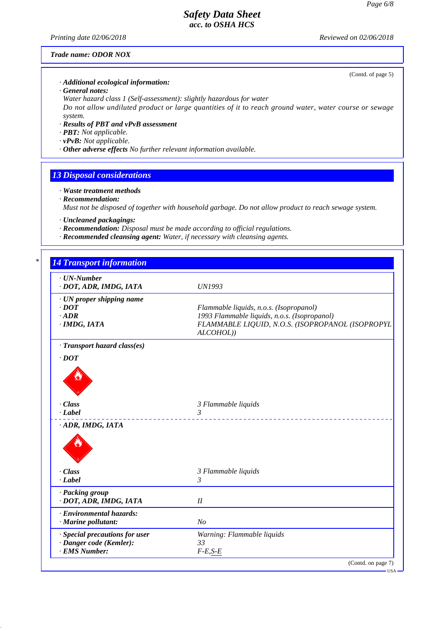*Printing date 02/06/2018 Reviewed on 02/06/2018*

(Contd. of page 5)

# *Trade name: ODOR NOX*

*· Additional ecological information:*

*· General notes:*

*Water hazard class 1 (Self-assessment): slightly hazardous for water Do not allow undiluted product or large quantities of it to reach ground water, water course or sewage system.*

- *· Results of PBT and vPvB assessment*
- *· PBT: Not applicable.*
- *· vPvB: Not applicable.*
- *· Other adverse effects No further relevant information available.*

# *13 Disposal considerations*

- *· Waste treatment methods*
- *· Recommendation:*

*Must not be disposed of together with household garbage. Do not allow product to reach sewage system.*

- *· Uncleaned packagings:*
- *· Recommendation: Disposal must be made according to official regulations.*
- *· Recommended cleansing agent: Water, if necessary with cleansing agents.*

| $\cdot$ UN-Number<br>· DOT, ADR, IMDG, IATA | <b>UN1993</b>                                                 |
|---------------------------------------------|---------------------------------------------------------------|
| · UN proper shipping name                   |                                                               |
| $\cdot$ <i>DOT</i>                          | Flammable liquids, n.o.s. (Isopropanol)                       |
| $-ADR$                                      | 1993 Flammable liquids, n.o.s. (Isopropanol)                  |
| · IMDG, IATA                                | FLAMMABLE LIQUID, N.O.S. (ISOPROPANOL (ISOPROPYL<br>ALCOHOL)) |
| · Transport hazard class(es)                |                                                               |
| $\cdot$ DOT                                 |                                                               |
| · Class<br>$\cdot$ Label                    | 3 Flammable liquids<br>3<br>______________                    |
| · ADR, IMDG, IATA                           |                                                               |
| $\cdot$ Class                               | 3 Flammable liquids                                           |
| $\cdot$ Label                               | 3                                                             |
| · Packing group                             |                                                               |
| · DOT, ADR, IMDG, IATA                      | I                                                             |
| · Environmental hazards:                    |                                                               |
| · Marine pollutant:                         | N <sub>o</sub>                                                |
| · Special precautions for user              | Warning: Flammable liquids                                    |
| · Danger code (Kemler):                     | 33                                                            |
| · EMS Number:                               | $F-E,S-E$                                                     |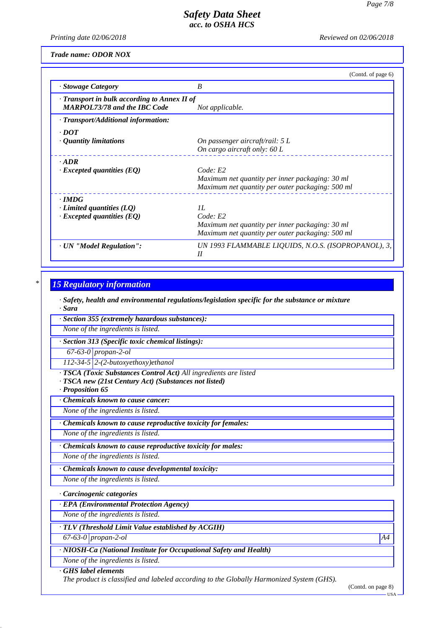*Printing date 02/06/2018 Reviewed on 02/06/2018*

*Trade name: ODOR NOX*

|                                                                                     | (Contd. of page 6)                                                                                                     |
|-------------------------------------------------------------------------------------|------------------------------------------------------------------------------------------------------------------------|
| · Stowage Category                                                                  | B                                                                                                                      |
| · Transport in bulk according to Annex II of<br><b>MARPOL73/78 and the IBC Code</b> | Not applicable.                                                                                                        |
| · Transport/Additional information:                                                 |                                                                                                                        |
| $\cdot$ DOT<br>$\cdot$ Quantity limitations                                         | On passenger aircraft/rail: 5 L<br>On cargo aircraft only: 60 L                                                        |
| $\cdot$ <i>ADR</i><br>$\cdot$ Excepted quantities (EQ)                              | Code: E2<br>Maximum net quantity per inner packaging: 30 ml<br>Maximum net quantity per outer packaging: 500 ml        |
| $\cdot$ IMDG<br>$\cdot$ Limited quantities (LQ)<br>$\cdot$ Excepted quantities (EQ) | II.<br>Code: E2<br>Maximum net quantity per inner packaging: 30 ml<br>Maximum net quantity per outer packaging: 500 ml |
| · UN "Model Regulation":                                                            | UN 1993 FLAMMABLE LIQUIDS, N.O.S. (ISOPROPANOL), 3,<br>$_{II}$                                                         |

# *\* 15 Regulatory information*

*· Safety, health and environmental regulations/legislation specific for the substance or mixture · Sara*

*· Section 355 (extremely hazardous substances):*

*None of the ingredients is listed.*

*· Section 313 (Specific toxic chemical listings):*

*67-63-0 propan-2-ol*

*112-34-5 2-(2-butoxyethoxy)ethanol*

*· TSCA (Toxic Substances Control Act) All ingredients are listed*

*· TSCA new (21st Century Act) (Substances not listed)*

*· Proposition 65*

*· Chemicals known to cause cancer:*

*None of the ingredients is listed.*

*· Chemicals known to cause reproductive toxicity for females:*

*None of the ingredients is listed.*

*· Chemicals known to cause reproductive toxicity for males:*

*None of the ingredients is listed.*

*· Chemicals known to cause developmental toxicity:*

*None of the ingredients is listed.*

*· Carcinogenic categories*

*· EPA (Environmental Protection Agency)*

*None of the ingredients is listed.*

*· TLV (Threshold Limit Value established by ACGIH)*

*67-63-0 propan-2-ol A4*

*· NIOSH-Ca (National Institute for Occupational Safety and Health)*

*None of the ingredients is listed.*

*· GHS label elements*

*The product is classified and labeled according to the Globally Harmonized System (GHS).*

<sup>(</sup>Contd. on page 8)